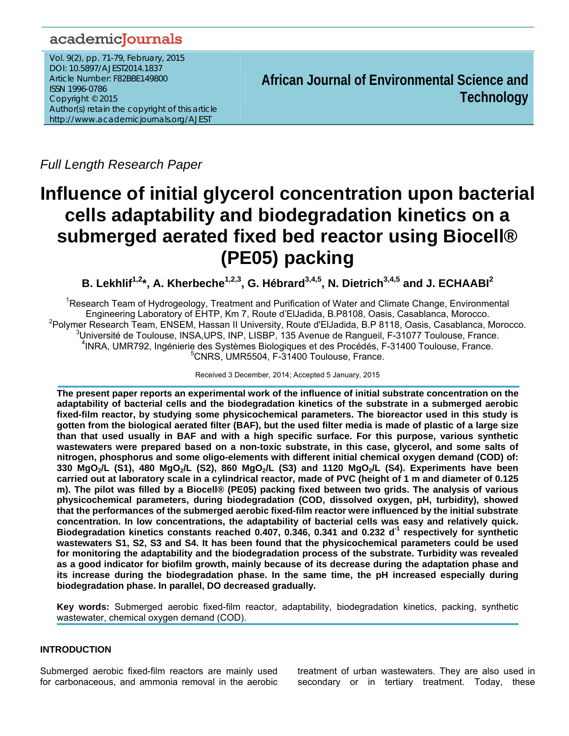# academicJournals

Vol. 9(2), pp. 71-79, February, 2015 DOI: 10.5897/AJEST2014.1837 Article Number: F82BBE149800 ISSN 1996-0786 Copyright © 2015 Author(s) retain the copyright of this article http://www.academicjournals.org/AJEST

**African Journal of Environmental Science and Technology**

*Full Length Research Paper* 

# **Influence of initial glycerol concentration upon bacterial cells adaptability and biodegradation kinetics on a submerged aerated fixed bed reactor using Biocell® (PE05) packing**

**B. Lekhlif<sup>1,2\*</sup>, A. Kherbeche<sup>1,2,3</sup>, G. Hébrard<sup>3,4,5</sup>, N. Dietrich<sup>3,4,5</sup> and J. ECHAABI<sup>2</sup>** 

<sup>1</sup>Research Team of Hydrogeology, Treatment and Purification of Water and Climate Change, Environmental Engineering Laboratory of EHTP, Km 7, Route d'ElJadida, B.P8108, Oasis, Casablanca, Morocco. 2 Polymer Research Team, ENSEM, Hassan II University, Route d'ElJadida, B.P 8118, Oasis, Casablanca, Morocco. <sup>3</sup>Université de Toulouse, INSA,UPS, INP, LISBP, 135 Avenue de Rangueil, F-31077 Toulouse, France.<br>1988 - 1982 - Independent des Systèmes Rielegiques et des Presédée. E 31400 Teulouse, France. <sup>4</sup>INRA, UMR792, Ingénierie des Systèmes Biologiques et des Procédés, F-31400 Toulouse, France. 5 CNRS, UMR5504, F-31400 Toulouse, France.

Received 3 December, 2014; Accepted 5 January, 2015

**The present paper reports an experimental work of the influence of initial substrate concentration on the adaptability of bacterial cells and the biodegradation kinetics of the substrate in a submerged aerobic fixed-film reactor, by studying some physicochemical parameters. The bioreactor used in this study is gotten from the biological aerated filter (BAF), but the used filter media is made of plastic of a large size than that used usually in BAF and with a high specific surface. For this purpose, various synthetic wastewaters were prepared based on a non-toxic substrate, in this case, glycerol, and some salts of nitrogen, phosphorus and some oligo-elements with different initial chemical oxygen demand (COD) of:**  330 MgO<sub>2</sub>/L (S1), 480 MgO<sub>2</sub>/L (S2), 860 MgO<sub>2</sub>/L (S3) and 1120 MgO<sub>2</sub>/L (S4). Experiments have been **carried out at laboratory scale in a cylindrical reactor, made of PVC (height of 1 m and diameter of 0.125 m). The pilot was filled by a Biocell® (PE05) packing fixed between two grids. The analysis of various physicochemical parameters, during biodegradation (COD, dissolved oxygen, pH, turbidity), showed that the performances of the submerged aerobic fixed-film reactor were influenced by the initial substrate concentration. In low concentrations, the adaptability of bacterial cells was easy and relatively quick.**  Biodegradation kinetics constants reached 0.407, 0.346, 0.341 and 0.232 d<sup>-1</sup> respectively for synthetic **wastewaters S1, S2, S3 and S4. It has been found that the physicochemical parameters could be used for monitoring the adaptability and the biodegradation process of the substrate. Turbidity was revealed as a good indicator for biofilm growth, mainly because of its decrease during the adaptation phase and its increase during the biodegradation phase. In the same time, the pH increased especially during biodegradation phase. In parallel, DO decreased gradually.** 

**Key words:** Submerged aerobic fixed-film reactor, adaptability, biodegradation kinetics, packing, synthetic wastewater, chemical oxygen demand (COD).

# **INTRODUCTION**

Submerged aerobic fixed-film reactors are mainly used for carbonaceous, and ammonia removal in the aerobic treatment of urban wastewaters. They are also used in secondary or in tertiary treatment. Today, these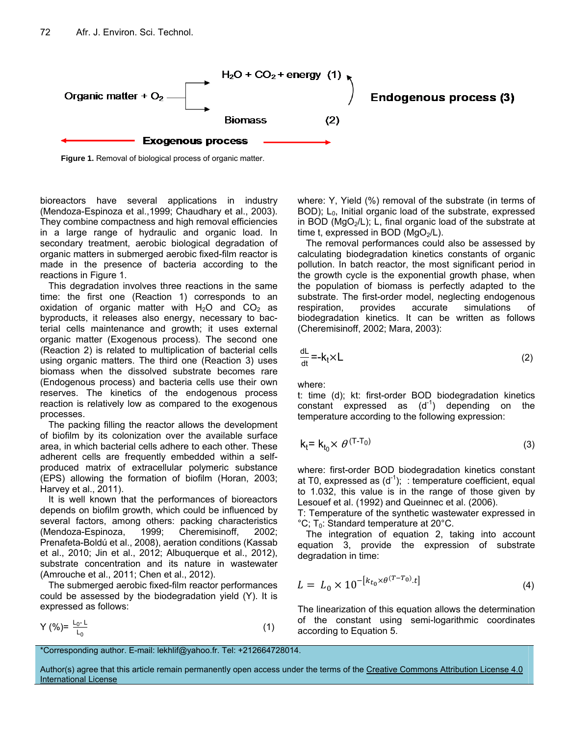

**Figure 1.** Removal of biological process of organic matter.

bioreactors have several applications in industry (Mendoza-Espinoza et al.,1999; Chaudhary et al., 2003). They combine compactness and high removal efficiencies in a large range of hydraulic and organic load. In secondary treatment, aerobic biological degradation of organic matters in submerged aerobic fixed-film reactor is made in the presence of bacteria according to the reactions in Figure 1.

This degradation involves three reactions in the same time: the first one (Reaction 1) corresponds to an oxidation of organic matter with  $H_2O$  and  $CO<sub>2</sub>$  as byproducts, it releases also energy, necessary to bacterial cells maintenance and growth; it uses external organic matter (Exogenous process). The second one (Reaction 2) is related to multiplication of bacterial cells using organic matters. The third one (Reaction 3) uses biomass when the dissolved substrate becomes rare (Endogenous process) and bacteria cells use their own reserves. The kinetics of the endogenous process reaction is relatively low as compared to the exogenous processes.

The packing filling the reactor allows the development of biofilm by its colonization over the available surface area, in which bacterial cells adhere to each other. These adherent cells are frequently embedded within a selfproduced matrix of extracellular polymeric substance (EPS) allowing the formation of biofilm (Horan, 2003; Harvey et al., 2011).

It is well known that the performances of bioreactors depends on biofilm growth, which could be influenced by several factors, among others: packing characteristics (Mendoza-Espinoza, 1999; Cheremisinoff, 2002; Prenafeta-Boldú et al., 2008), aeration conditions (Kassab et al., 2010; Jin et al., 2012; Albuquerque et al., 2012), substrate concentration and its nature in wastewater (Amrouche et al., 2011; Chen et al., 2012).

The submerged aerobic fixed-film reactor performances could be assessed by the biodegradation yield (Y). It is expressed as follows:

$$
Y(\%) = \frac{L_0 - L}{L_0} \tag{1}
$$

where: Y, Yield (%) removal of the substrate (in terms of BOD);  $L_0$ , Initial organic load of the substrate, expressed in BOD ( $MgO<sub>2</sub>/L$ ); L, final organic load of the substrate at time t, expressed in BOD ( $MQ_2/L$ ).

The removal performances could also be assessed by calculating biodegradation kinetics constants of organic pollution. In batch reactor, the most significant period in the growth cycle is the exponential growth phase, when the population of biomass is perfectly adapted to the substrate. The first-order model, neglecting endogenous respiration, provides accurate simulations of biodegradation kinetics. It can be written as follows (Cheremisinoff, 2002; Mara, 2003):

$$
\frac{dL}{dt} = -k_t \times L \tag{2}
$$

where:

t: time (d); kt: first-order BOD biodegradation kinetics constant expressed as  $(d<sup>-1</sup>)$  depending on the temperature according to the following expression:

$$
k_t = k_{t_0} \times \theta^{(T - T_0)}
$$
\n(3)

where: first-order BOD biodegradation kinetics constant at T0, expressed as  $(d^{-1})$ ; : temperature coefficient, equal to 1.032, this value is in the range of those given by Lesouef et al. (1992) and Queinnec et al. (2006).

T: Temperature of the synthetic wastewater expressed in  $^{\circ}$ C; T<sub>0</sub>: Standard temperature at 20 $^{\circ}$ C.

The integration of equation 2, taking into account equation 3, provide the expression of substrate degradation in time:

$$
L = L_0 \times 10^{-[k_{t_0} \times \theta^{(T-T_0)} \cdot t]}
$$
\n(4)

The linearization of this equation allows the determination of the constant using semi-logarithmic coordinates according to Equation 5.

```
*Corresponding author. E-mail: lekhlif@yahoo.fr. Tel: +212664728014.
```
Author(s) agree that this article remain permanently open access under the terms of the Creative Commons Attribution License 4.0 International License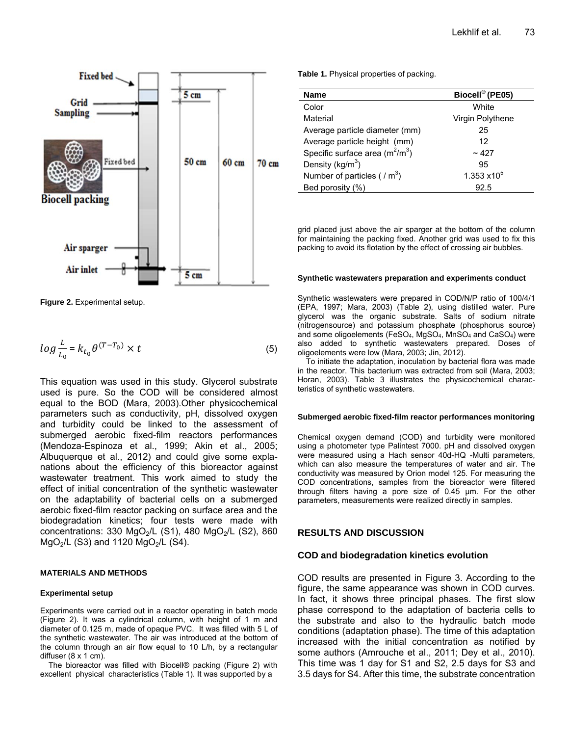

**Figure 2.** Experimental setup.

$$
log \frac{L}{L_0} = k_{t_0} \theta^{(T - T_0)} \times t
$$
 (5)

This equation was used in this study. Glycerol substrate used is pure. So the COD will be considered almost equal to the BOD (Mara, 2003).Other physicochemical parameters such as conductivity, pH, dissolved oxygen and turbidity could be linked to the assessment of submerged aerobic fixed-film reactors performances (Mendoza-Espinoza et al., 1999; Akin et al., 2005; Albuquerque et al., 2012) and could give some explanations about the efficiency of this bioreactor against wastewater treatment. This work aimed to study the effect of initial concentration of the synthetic wastewater on the adaptability of bacterial cells on a submerged aerobic fixed-film reactor packing on surface area and the biodegradation kinetics; four tests were made with concentrations: 330 MgO<sub>2</sub>/L (S1), 480 MgO<sub>2</sub>/L (S2), 860  $MgO_2/L$  (S3) and 1120  $MgO_2/L$  (S4).

#### **MATERIALS AND METHODS**

#### **Experimental setup**

Experiments were carried out in a reactor operating in batch mode (Figure 2). It was a cylindrical column, with height of 1 m and diameter of 0.125 m, made of opaque PVC. It was filled with 5 L of the synthetic wastewater. The air was introduced at the bottom of the column through an air flow equal to 10 L/h, by a rectangular diffuser  $(8 \times 1 \text{ cm})$ .

The bioreactor was filled with Biocell® packing (Figure 2) with excellent physical characteristics (Table 1). It was supported by a

**Table 1.** Physical properties of packing.

| <b>Name</b>                       | Biocell® (PE05)     |
|-----------------------------------|---------------------|
| Color                             | White               |
| Material                          | Virgin Polythene    |
| Average particle diameter (mm)    | 25                  |
| Average particle height (mm)      | 12                  |
| Specific surface area $(m^2/m^3)$ | ~127                |
| Density ( $kg/m3$ )               | 95                  |
| Number of particles ( $/m3$ )     | $1.353 \times 10^5$ |
| Bed porosity (%)                  | 92.5                |

grid placed just above the air sparger at the bottom of the column for maintaining the packing fixed. Another grid was used to fix this packing to avoid its flotation by the effect of crossing air bubbles.

#### **Synthetic wastewaters preparation and experiments conduct**

Synthetic wastewaters were prepared in COD/N/P ratio of 100/4/1 (EPA, 1997; Mara, 2003) (Table 2), using distilled water. Pure glycerol was the organic substrate. Salts of sodium nitrate (nitrogensource) and potassium phosphate (phosphorus source) and some oligoelements (FeSO<sub>4</sub>, MgSO<sub>4</sub>, MnSO<sub>4</sub> and CaSO<sub>4</sub>) were also added to synthetic wastewaters prepared. Doses of oligoelements were low (Mara, 2003; Jin, 2012).

To initiate the adaptation, inoculation by bacterial flora was made in the reactor. This bacterium was extracted from soil (Mara, 2003; Horan, 2003). Table 3 illustrates the physicochemical characteristics of synthetic wastewaters.

#### **Submerged aerobic fixed-film reactor performances monitoring**

Chemical oxygen demand (COD) and turbidity were monitored using a photometer type Palintest 7000. pH and dissolved oxygen were measured using a Hach sensor 40d-HQ -Multi parameters, which can also measure the temperatures of water and air. The conductivity was measured by Orion model 125. For measuring the COD concentrations, samples from the bioreactor were filtered through filters having a pore size of 0.45 µm. For the other parameters, measurements were realized directly in samples.

### **RESULTS AND DISCUSSION**

#### **COD and biodegradation kinetics evolution**

COD results are presented in Figure 3. According to the figure, the same appearance was shown in COD curves. In fact, it shows three principal phases. The first slow phase correspond to the adaptation of bacteria cells to the substrate and also to the hydraulic batch mode conditions (adaptation phase). The time of this adaptation increased with the initial concentration as notified by some authors (Amrouche et al., 2011; Dey et al., 2010). This time was 1 day for S1 and S2, 2.5 days for S3 and 3.5 days for S4. After this time, the substrate concentration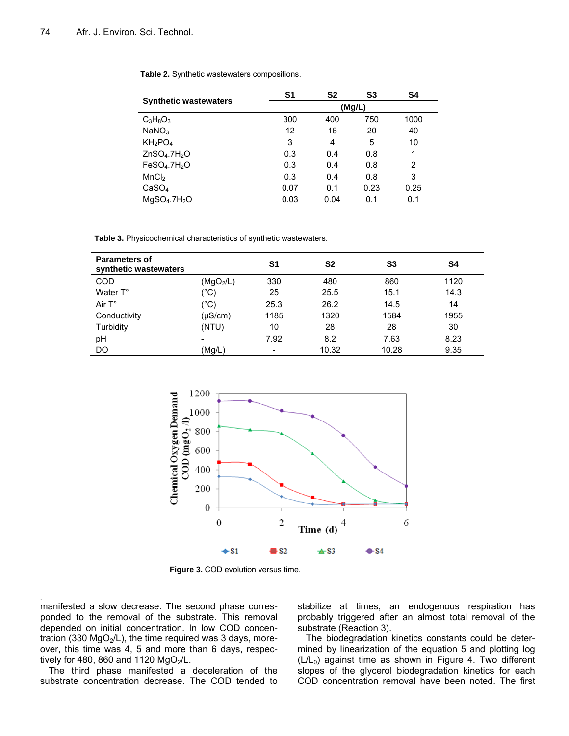|                                      | S <sub>1</sub> | S <sub>2</sub> | S <sub>3</sub> | S4   |
|--------------------------------------|----------------|----------------|----------------|------|
| <b>Synthetic wastewaters</b>         |                |                | (Mg/L)         |      |
| $C_3H_8O_3$                          | 300            | 400            | 750            | 1000 |
| NaNO <sub>3</sub>                    | 12             | 16             | 20             | 40   |
| KH <sub>2</sub> PO <sub>4</sub>      | 3              | 4              | 5              | 10   |
| ZnSO <sub>4</sub> .7H <sub>2</sub> O | 0.3            | 0.4            | 0.8            | 1    |
| FeSO <sub>4</sub> .7H <sub>2</sub> O | 0.3            | 0.4            | 0.8            | 2    |
| MnCl <sub>2</sub>                    | 0.3            | 0.4            | 0.8            | 3    |
| CaSO <sub>4</sub>                    | 0.07           | 0.1            | 0.23           | 0.25 |
| MgSO <sub>4</sub> .7H <sub>2</sub> O | 0.03           | 0.04           | 0.1            | 0.1  |

|  |  |  | Table 2. Synthetic wastewaters compositions. |
|--|--|--|----------------------------------------------|
|--|--|--|----------------------------------------------|

**Table 3.** Physicochemical characteristics of synthetic wastewaters.

| <b>Parameters of</b><br>synthetic wastewaters |                       | S1   | S <sub>2</sub> | S3    | S4   |
|-----------------------------------------------|-----------------------|------|----------------|-------|------|
| <b>COD</b>                                    | (MgO <sub>2</sub> /L) | 330  | 480            | 860   | 1120 |
| Water T°                                      | (°C)                  | 25   | 25.5           | 15.1  | 14.3 |
| Air $T^{\circ}$                               | (°C)                  | 25.3 | 26.2           | 14.5  | 14   |
| Conductivity                                  | (µS/cm)               | 1185 | 1320           | 1584  | 1955 |
| Turbidity                                     | (NTU)                 | 10   | 28             | 28    | 30   |
| pH                                            |                       | 7.92 | 8.2            | 7.63  | 8.23 |
| <b>DO</b>                                     | (Mg/L)                |      | 10.32          | 10.28 | 9.35 |



**Figure 3.** COD evolution versus time.

manifested a slow decrease. The second phase corresponded to the removal of the substrate. This removal depended on initial concentration. In low COD concentration (330  $MgO<sub>2</sub>/L$ ), the time required was 3 days, moreover, this time was 4, 5 and more than 6 days, respectively for 480, 860 and 1120  $MgO<sub>2</sub>/L$ .

.

The third phase manifested a deceleration of the substrate concentration decrease. The COD tended to stabilize at times, an endogenous respiration has probably triggered after an almost total removal of the substrate (Reaction 3).

The biodegradation kinetics constants could be determined by linearization of the equation 5 and plotting log  $(L/L_0)$  against time as shown in Figure 4. Two different slopes of the glycerol biodegradation kinetics for each COD concentration removal have been noted. The first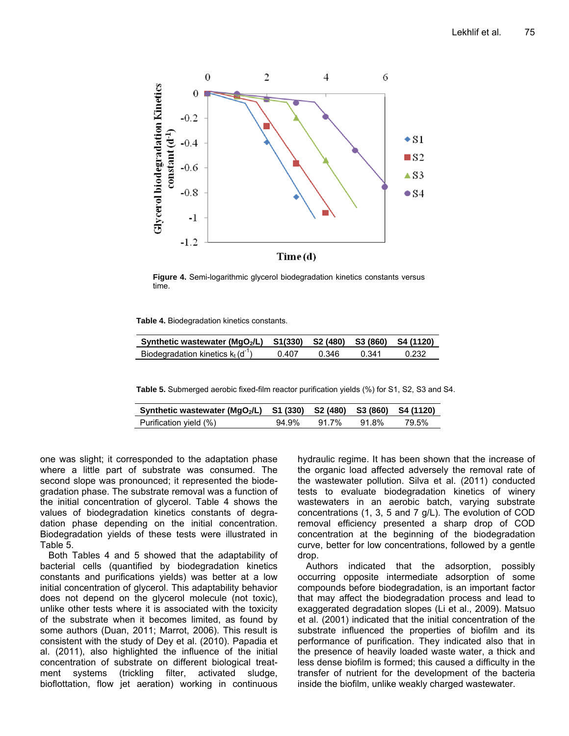

**Figure 4.** Semi-logarithmic glycerol biodegradation kinetics constants versus time.

**Table 4.** Biodegradation kinetics constants.

| Synthetic wastewater (MgO <sub>2</sub> /L) S1(330) S2 (480) S3 (860) S4 (1120) |       |       |       |       |
|--------------------------------------------------------------------------------|-------|-------|-------|-------|
| Biodegradation kinetics $k_t(d^{-1})$                                          | 0.407 | 0.346 | በ 341 | 0.232 |

**Table 5.** Submerged aerobic fixed-film reactor purification yields (%) for S1, S2, S3 and S4.

| Synthetic wastewater (MgO2/L) S1 (330) S2 (480) S3 (860) S4 (1120) |       |       |       |       |
|--------------------------------------------------------------------|-------|-------|-------|-------|
| Purification yield (%)                                             | 94.9% | 91 7% | 91.8% | 79.5% |

one was slight; it corresponded to the adaptation phase where a little part of substrate was consumed. The second slope was pronounced; it represented the biodegradation phase. The substrate removal was a function of the initial concentration of glycerol. Table 4 shows the values of biodegradation kinetics constants of degradation phase depending on the initial concentration. Biodegradation yields of these tests were illustrated in Table 5.

Both Tables 4 and 5 showed that the adaptability of bacterial cells (quantified by biodegradation kinetics constants and purifications yields) was better at a low initial concentration of glycerol. This adaptability behavior does not depend on the glycerol molecule (not toxic), unlike other tests where it is associated with the toxicity of the substrate when it becomes limited, as found by some authors (Duan, 2011; Marrot, 2006). This result is consistent with the study of Dey et al. (2010). Papadia et al. (2011), also highlighted the influence of the initial concentration of substrate on different biological treatment systems (trickling filter, activated sludge, bioflottation, flow jet aeration) working in continuous hydraulic regime. It has been shown that the increase of the organic load affected adversely the removal rate of the wastewater pollution. Silva et al. (2011) conducted tests to evaluate biodegradation kinetics of winery wastewaters in an aerobic batch, varying substrate concentrations (1, 3, 5 and 7 g/L). The evolution of COD removal efficiency presented a sharp drop of COD concentration at the beginning of the biodegradation curve, better for low concentrations, followed by a gentle drop.

Authors indicated that the adsorption, possibly occurring opposite intermediate adsorption of some compounds before biodegradation, is an important factor that may affect the biodegradation process and lead to exaggerated degradation slopes (Li et al., 2009). Matsuo et al. (2001) indicated that the initial concentration of the substrate influenced the properties of biofilm and its performance of purification. They indicated also that in the presence of heavily loaded waste water, a thick and less dense biofilm is formed; this caused a difficulty in the transfer of nutrient for the development of the bacteria inside the biofilm, unlike weakly charged wastewater.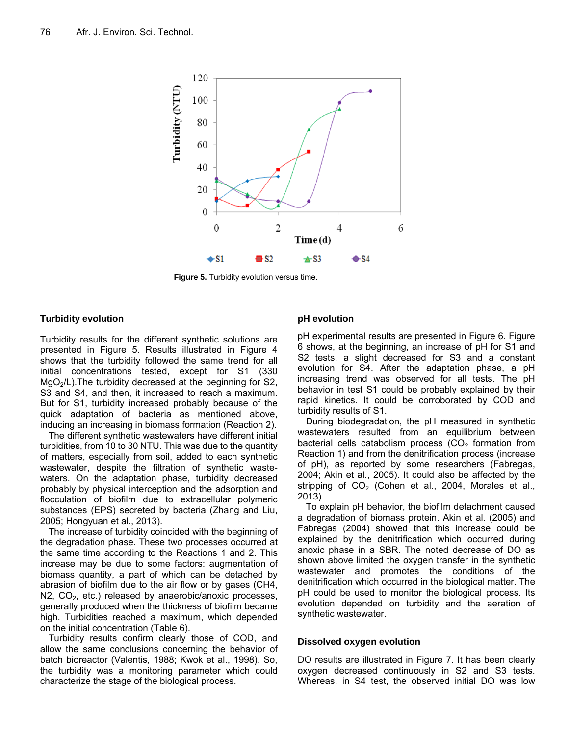

**Figure 5.** Turbidity evolution versus time.

# **Turbidity evolution**

Turbidity results for the different synthetic solutions are presented in Figure 5. Results illustrated in Figure 4 shows that the turbidity followed the same trend for all initial concentrations tested, except for S1 (330  $MgO<sub>2</sub>/L$ ). The turbidity decreased at the beginning for S2, S3 and S4, and then, it increased to reach a maximum. But for S1, turbidity increased probably because of the quick adaptation of bacteria as mentioned above, inducing an increasing in biomass formation (Reaction 2).

The different synthetic wastewaters have different initial turbidities, from 10 to 30 NTU. This was due to the quantity of matters, especially from soil, added to each synthetic wastewater, despite the filtration of synthetic wastewaters. On the adaptation phase, turbidity decreased probably by physical interception and the adsorption and flocculation of biofilm due to extracellular polymeric substances (EPS) secreted by bacteria (Zhang and Liu, 2005; Hongyuan et al., 2013).

The increase of turbidity coincided with the beginning of the degradation phase. These two processes occurred at the same time according to the Reactions 1 and 2. This increase may be due to some factors: augmentation of biomass quantity, a part of which can be detached by abrasion of biofilm due to the air flow or by gases (CH4,  $N2$ ,  $CO<sub>2</sub>$ , etc.) released by anaerobic/anoxic processes, generally produced when the thickness of biofilm became high. Turbidities reached a maximum, which depended on the initial concentration (Table 6).

Turbidity results confirm clearly those of COD, and allow the same conclusions concerning the behavior of batch bioreactor (Valentis, 1988; Kwok et al., 1998). So, the turbidity was a monitoring parameter which could characterize the stage of the biological process.

# **pH evolution**

pH experimental results are presented in Figure 6. Figure 6 shows, at the beginning, an increase of pH for S1 and S2 tests, a slight decreased for S3 and a constant evolution for S4. After the adaptation phase, a pH increasing trend was observed for all tests. The pH behavior in test S1 could be probably explained by their rapid kinetics. It could be corroborated by COD and turbidity results of S1.

During biodegradation, the pH measured in synthetic wastewaters resulted from an equilibrium between bacterial cells catabolism process  $(CO<sub>2</sub>$  formation from Reaction 1) and from the denitrification process (increase of pH), as reported by some researchers (Fabregas, 2004; Akin et al., 2005). It could also be affected by the stripping of  $CO<sub>2</sub>$  (Cohen et al., 2004, Morales et al., 2013).

To explain pH behavior, the biofilm detachment caused a degradation of biomass protein. Akin et al. (2005) and Fabregas (2004) showed that this increase could be explained by the denitrification which occurred during anoxic phase in a SBR. The noted decrease of DO as shown above limited the oxygen transfer in the synthetic wastewater and promotes the conditions of the denitrification which occurred in the biological matter. The pH could be used to monitor the biological process. Its evolution depended on turbidity and the aeration of synthetic wastewater.

# **Dissolved oxygen evolution**

DO results are illustrated in Figure 7. It has been clearly oxygen decreased continuously in S2 and S3 tests. Whereas, in S4 test, the observed initial DO was low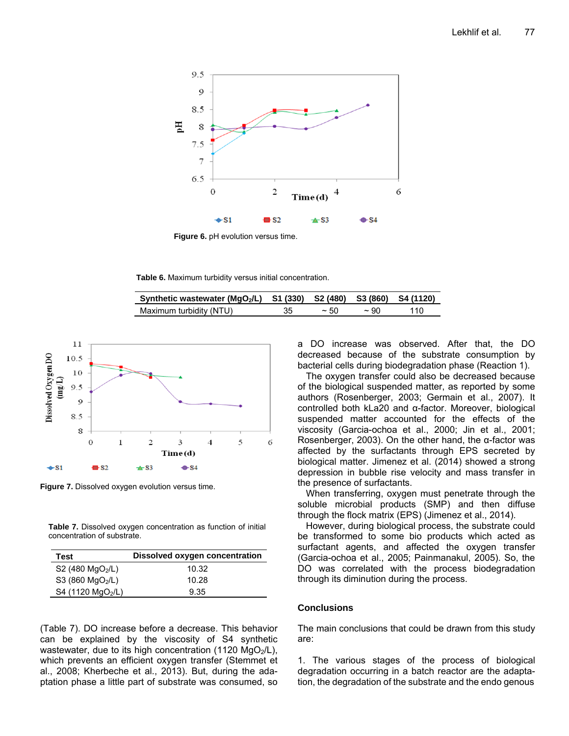

**Figure 6.** pH evolution versus time.

**Table 6.** Maximum turbidity versus initial concentration.

| Synthetic wastewater (MgO <sub>2</sub> /L) S1 (330) S2 (480) S3 (860) S4 (1120) |    |       |           |     |
|---------------------------------------------------------------------------------|----|-------|-----------|-----|
| Maximum turbidity (NTU)                                                         | 35 | ~1.50 | $\sim$ 90 | 110 |



**Figure 7.** Dissolved oxygen evolution versus time.

**Table 7.** Dissolved oxygen concentration as function of initial concentration of substrate.

| Test                          | Dissolved oxygen concentration |
|-------------------------------|--------------------------------|
| S2 (480 $MgO2/L$ )            | 10.32                          |
| S3 (860 $MgO2/L$ )            | 10.28                          |
| S4 (1120 MgO <sub>2</sub> /L) | 9.35                           |

(Table 7). DO increase before a decrease. This behavior can be explained by the viscosity of S4 synthetic wastewater, due to its high concentration (1120  $MgO<sub>2</sub>/L$ ), which prevents an efficient oxygen transfer (Stemmet et al., 2008; Kherbeche et al., 2013). But, during the adaptation phase a little part of substrate was consumed, so a DO increase was observed. After that, the DO decreased because of the substrate consumption by bacterial cells during biodegradation phase (Reaction 1).

The oxygen transfer could also be decreased because of the biological suspended matter, as reported by some authors (Rosenberger, 2003; Germain et al., 2007). It controlled both kLa20 and α-factor. Moreover, biological suspended matter accounted for the effects of the viscosity (Garcia-ochoa et al., 2000; Jin et al., 2001; Rosenberger, 2003). On the other hand, the α-factor was affected by the surfactants through EPS secreted by biological matter. Jimenez et al. (2014) showed a strong depression in bubble rise velocity and mass transfer in the presence of surfactants.

When transferring, oxygen must penetrate through the soluble microbial products (SMP) and then diffuse through the flock matrix (EPS) (Jimenez et al., 2014).

However, during biological process, the substrate could be transformed to some bio products which acted as surfactant agents, and affected the oxygen transfer (Garcia-ochoa et al., 2005; Painmanakul, 2005). So, the DO was correlated with the process biodegradation through its diminution during the process.

## **Conclusions**

The main conclusions that could be drawn from this study are:

1. The various stages of the process of biological degradation occurring in a batch reactor are the adaptation, the degradation of the substrate and the endo genous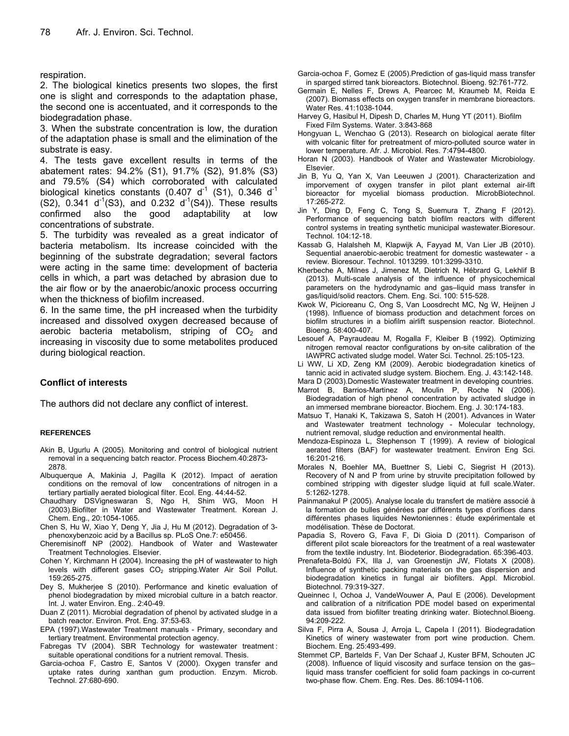#### respiration.

2. The biological kinetics presents two slopes, the first one is slight and corresponds to the adaptation phase, the second one is accentuated, and it corresponds to the biodegradation phase.

3. When the substrate concentration is low, the duration of the adaptation phase is small and the elimination of the substrate is easy.

4. The tests gave excellent results in terms of the abatement rates: 94.2% (S1), 91.7% (S2), 91.8% (S3) and 79.5% (S4) which corroborated with calculated biological kinetics constants (0.407  $d^1$  (S1), 0.346  $d^1$  $(S2)$ , 0.341 d<sup>-1</sup>(S3), and 0.232 d<sup>-1</sup>(S4)). These results confirmed also the good adaptability at low concentrations of substrate.

5. The turbidity was revealed as a great indicator of bacteria metabolism. Its increase coincided with the beginning of the substrate degradation; several factors were acting in the same time: development of bacteria cells in which, a part was detached by abrasion due to the air flow or by the anaerobic/anoxic process occurring when the thickness of biofilm increased.

6. In the same time, the pH increased when the turbidity increased and dissolved oxygen decreased because of aerobic bacteria metabolism, striping of  $CO<sub>2</sub>$  and increasing in viscosity due to some metabolites produced during biological reaction.

# **Conflict of interests**

The authors did not declare any conflict of interest.

#### **REFERENCES**

- Akin B, Ugurlu A (2005). Monitoring and control of biological nutrient removal in a sequencing batch reactor. Process Biochem.40:2873- 2878.
- Albuquerque A, Makinia J, Pagilla K (2012). Impact of aeration conditions on the removal of low concentrations of nitrogen in a tertiary partially aerated biological filter. Ecol. Eng. 44:44-52.
- Chaudhary DSVigneswaran S, Ngo H, Shim WG, Moon H (2003).Biofilter in Water and Wastewater Treatment. Korean J. Chem. Eng., 20:1054-1065.
- Chen S, Hu W, Xiao Y, Deng Y, Jia J, Hu M (2012). Degradation of 3 phenoxybenzoic acid by a Bacillus sp. PLoS One.7: e50456.
- Cheremisinoff NP (2002). Handbook of Water and Wastewater Treatment Technologies. Elsevier.
- Cohen Y, Kirchmann H (2004). Increasing the pH of wastewater to high levels with different gases CO<sub>2</sub> stripping.Water Air Soil Pollut. 159:265-275.
- Dey S, Mukherjee S (2010). Performance and kinetic evaluation of phenol biodegradation by mixed microbial culture in a batch reactor. Int. J. water Environ. Eng.. 2:40-49.
- Duan Z (2011). Microbial degradation of phenol by activated sludge in a batch reactor. Environ. Prot. Eng. 37:53-63.
- EPA (1997).Wastewater Treatment manuals Primary, secondary and tertiary treatment. Environmental protection agency.
- Fabregas TV (2004). SBR Technology for wastewater treatment : suitable operational conditions for a nutrient removal. Thesis.
- Garcia-ochoa F, Castro E, Santos V (2000). Oxygen transfer and uptake rates during xanthan gum production. Enzym. Microb. Technol. 27:680-690.
- Garcia-ochoa F, Gomez E (2005).Prediction of gas-liquid mass transfer in sparged stirred tank bioreactors. Biotechnol. Bioeng. 92:761-772.
- Germain E, Nelles F, Drews A, Pearcec M, Kraumeb M, Reida E (2007). Biomass effects on oxygen transfer in membrane bioreactors. Water Res. 41:1038-1044.
- Harvey G, Hasibul H, Dipesh D, Charles M, Hung YT (2011). Biofilm Fixed Film Systems. Water. 3:843-868
- Hongyuan L, Wenchao G (2013). Research on biological aerate filter with volcanic filter for pretreatment of micro-polluted source water in lower temperature. Afr. J. Microbiol. Res. 7:4794-4800.
- Horan N (2003). Handbook of Water and Wastewater Microbiology. Elsevier.
- Jin B, Yu Q, Yan X, Van Leeuwen J (2001). Characterization and imporvement of oxygen transfer in pilot plant external air-lift bioreactor for mycelial biomass production. MicrobBiotechnol. 17:265-272.
- Jin Y, Ding D, Feng C, Tong S, Suemura T, Zhang F (2012). Performance of sequencing batch biofilm reactors with different control systems in treating synthetic municipal wastewater.Bioresour. Technol. 104:12-18.
- Kassab G, Halalsheh M, Klapwijk A, Fayyad M, Van Lier JB (2010). Sequential anaerobic-aerobic treatment for domestic wastewater - a review. Bioresour. Technol. 1013299. 101:3299-3310.
- Kherbeche A, Milnes J, Jimenez M, Dietrich N, Hébrard G, Lekhlif B (2013). Multi-scale analysis of the influence of physicochemical parameters on the hydrodynamic and gas–liquid mass transfer in gas/liquid/solid reactors. Chem. Eng. Sci. 100: 515-528.
- Kwok W, Picioreanu C, Ong S, Van Loosdrecht MC, Ng W, Heijnen J (1998). Influence of biomass production and detachment forces on biofilm structures in a biofilm airlift suspension reactor. Biotechnol. Bioeng. 58:400-407.
- Lesouef A, Payraudeau M, Rogalla F, Kleiber B (1992). Optimizing nitrogen removal reactor configurations by on-site calibration of the IAWPRC activated sludge model. Water Sci. Technol. 25:105-123.
- Li WW, Li XD, Zeng KM (2009). Aerobic biodegradation kinetics of tannic acid in activated sludge system. Biochem. Eng. J. 43:142-148.
- Mara D (2003).Domestic Wastewater treatment in developing countries. Marrot B, Barrios-Martinez A, Moulin P, Roche N (2006).
- Biodegradation of high phenol concentration by activated sludge in an immersed membrane bioreactor. Biochem. Eng. J. 30:174-183.
- Matsuo T, Hanaki K, Takizawa S, Satoh H (2001). Advances in Water and Wastewater treatment technology - Molecular technology, nutrient removal, sludge reduction and environmental health.
- Mendoza-Espinoza L, Stephenson T (1999). A review of biological aerated filters (BAF) for wastewater treatment. Environ Eng Sci. 16:201-216.
- Morales N, Boehler MA, Buettner S, Liebi C, Siegrist H (2013). Recovery of N and P from urine by struvite precipitation followed by combined stripping with digester sludge liquid at full scale.Water. 5:1262-1278.
- Painmanakul P (2005). Analyse locale du transfert de matière associé à la formation de bulles générées par différents types d'orifices dans différentes phases liquides Newtoniennes : étude expérimentale et modélisation. Thèse de Doctorat.
- Papadia S, Rovero G, Fava F, Di Gioia D (2011). Comparison of different pilot scale bioreactors for the treatment of a real wastewater from the textile industry. Int. Biodeterior. Biodegradation. 65:396-403.
- Prenafeta-Boldú FX, Illa J, van Groenestijn JW, Flotats X (2008). Influence of synthetic packing materials on the gas dispersion and biodegradation kinetics in fungal air biofilters. Appl. Microbiol. Biotechnol. 79:319-327.
- Queinnec I, Ochoa J, VandeWouwer A, Paul E (2006). Development and calibration of a nitrification PDE model based on experimental data issued from biofilter treating drinking water. Biotechnol.Bioeng. 94:209-222.
- Silva F, Pirra A, Sousa J, Arroja L, Capela I (2011). Biodegradation Kinetics of winery wastewater from port wine production. Chem. Biochem. Eng. 25:493-499.
- Stemmet CP, Bartelds F, Van Der Schaaf J, Kuster BFM, Schouten JC (2008). Influence of liquid viscosity and surface tension on the gas– liquid mass transfer coefficient for solid foam packings in co-current two-phase flow. Chem. Eng. Res. Des. 86:1094-1106.